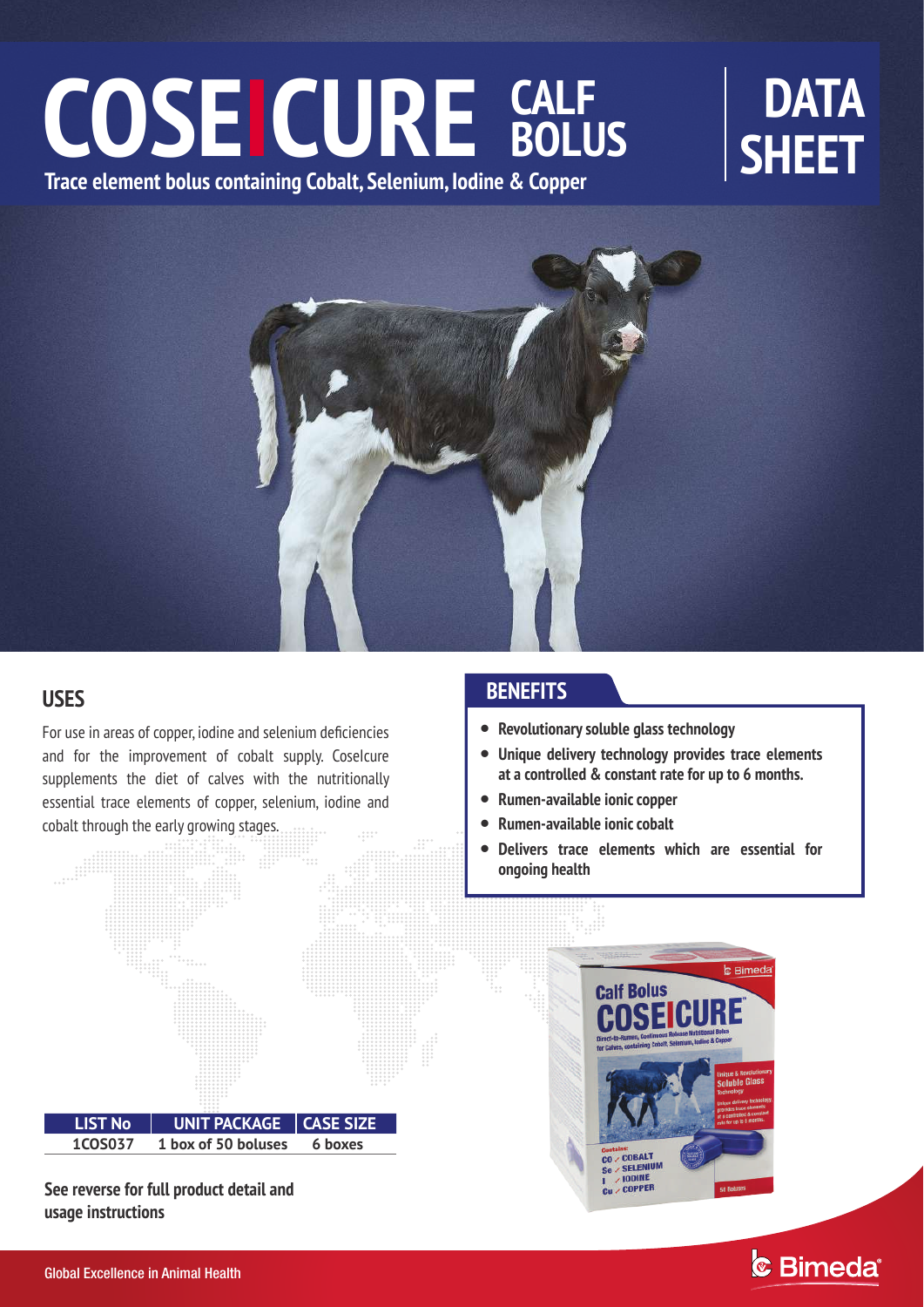# COSEICURE CALF BOLUS SHEET **Trace element bolus containing Cobalt, Selenium, Iodine & Copper SHEET CALF BOLUS**



# **USES**

For use in areas of copper, iodine and selenium deficiencies and for the improvement of cobalt supply. CoseIcure supplements the diet of calves with the nutritionally essential trace elements of copper, selenium, iodine and cobalt through the early growing stages.



**See reverse for full product detail and usage instructions**

# **BENEFITS**

- **Revolutionary soluble glass technology**
- **Unique delivery technology provides trace elements at a controlled & constant rate for up to 6 months.**
- **Rumen-available ionic copper**
- $\bullet$ **Rumen-available ionic cobalt**
- $\bullet$ **Delivers trace elements which are essential for ongoing health**